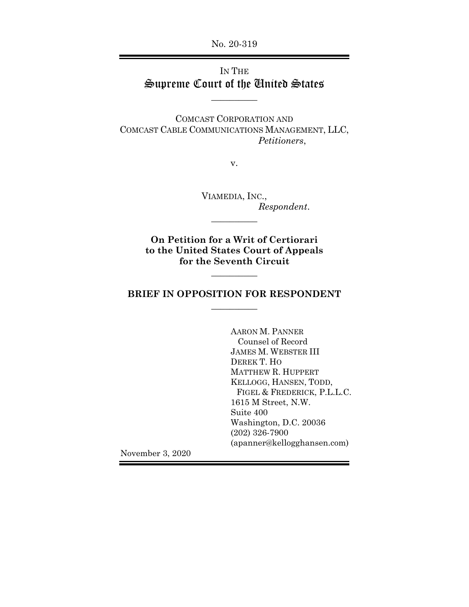No. 20-319

# IN THE Supreme Court of the United States

 $\overline{\phantom{a}}$ 

COMCAST CORPORATION AND COMCAST CABLE COMMUNICATIONS MANAGEMENT, LLC, *Petitioners*,

v.

VIAMEDIA, INC., *Respondent*.

**On Petition for a Writ of Certiorari to the United States Court of Appeals for the Seventh Circuit**

 $\overline{\phantom{a}}$ 

### **BRIEF IN OPPOSITION FOR RESPONDENT**   $\overline{\phantom{a}}$   $\overline{\phantom{a}}$

 $\overline{\phantom{a}}$ 

AARON M. PANNER Counsel of Record JAMES M. WEBSTER III DEREK T. HO MATTHEW R. HUPPERT KELLOGG, HANSEN, TODD, FIGEL & FREDERICK, P.L.L.C. 1615 M Street, N.W. Suite 400 Washington, D.C. 20036 (202) 326-7900 (apanner@kellogghansen.com)

November 3, 2020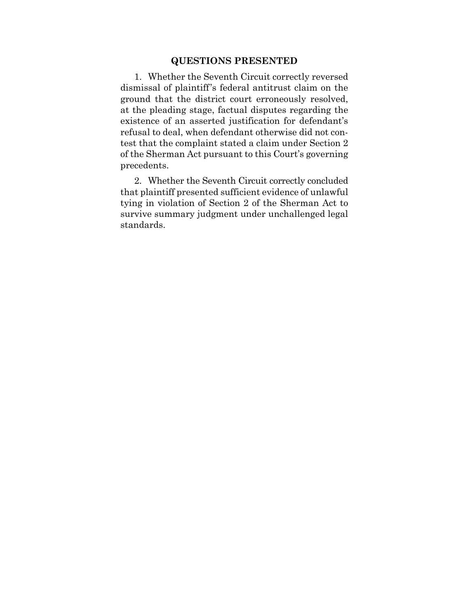#### **QUESTIONS PRESENTED**

1. Whether the Seventh Circuit correctly reversed dismissal of plaintiff's federal antitrust claim on the ground that the district court erroneously resolved, at the pleading stage, factual disputes regarding the existence of an asserted justification for defendant's refusal to deal, when defendant otherwise did not contest that the complaint stated a claim under Section 2 of the Sherman Act pursuant to this Court's governing precedents.

2. Whether the Seventh Circuit correctly concluded that plaintiff presented sufficient evidence of unlawful tying in violation of Section 2 of the Sherman Act to survive summary judgment under unchallenged legal standards.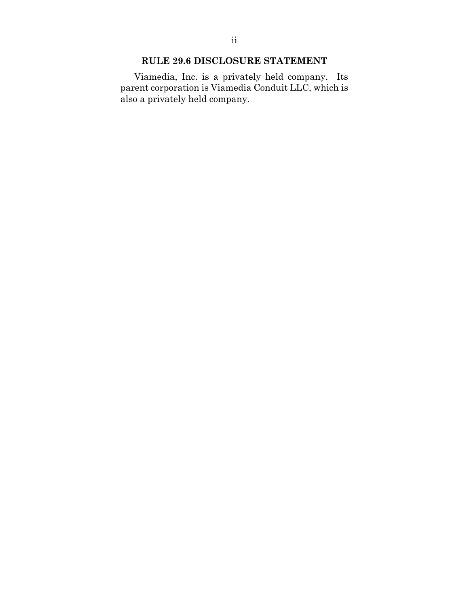Viamedia, Inc. is a privately held company. Its parent corporation is Viamedia Conduit LLC, which is also a privately held company.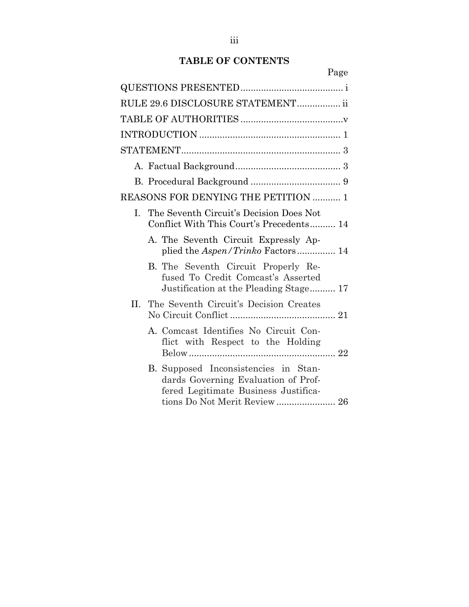# **TABLE OF CONTENTS**

|  | Page                                                                                                                                                 |
|--|------------------------------------------------------------------------------------------------------------------------------------------------------|
|  |                                                                                                                                                      |
|  | RULE 29.6 DISCLOSURE STATEMENT ii                                                                                                                    |
|  |                                                                                                                                                      |
|  |                                                                                                                                                      |
|  |                                                                                                                                                      |
|  |                                                                                                                                                      |
|  |                                                                                                                                                      |
|  | REASONS FOR DENYING THE PETITION  1                                                                                                                  |
|  | I. The Seventh Circuit's Decision Does Not<br>Conflict With This Court's Precedents 14                                                               |
|  | A. The Seventh Circuit Expressly Ap-<br>plied the <i>Aspen/Trinko</i> Factors 14                                                                     |
|  | B. The Seventh Circuit Properly Re-<br>fused To Credit Comcast's Asserted<br>Justification at the Pleading Stage 17                                  |
|  | II. The Seventh Circuit's Decision Creates                                                                                                           |
|  | A. Comcast Identifies No Circuit Con-<br>flict with Respect to the Holding                                                                           |
|  | B. Supposed Inconsistencies in Stan-<br>dards Governing Evaluation of Prof-<br>fered Legitimate Business Justifica-<br>tions Do Not Merit Review  26 |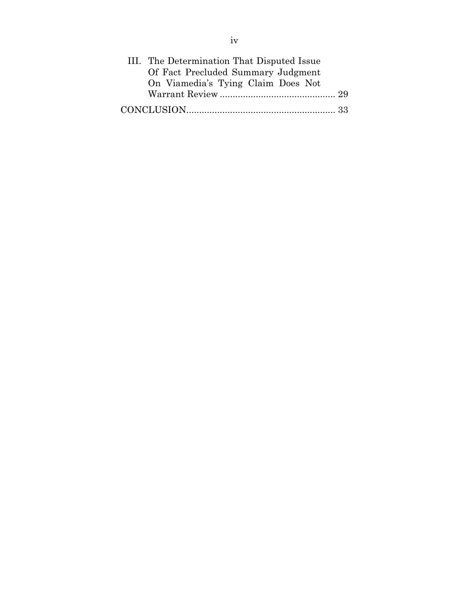| III. The Determination That Disputed Issue. |  |
|---------------------------------------------|--|
| Of Fact Precluded Summary Judgment          |  |
| On Viamedia's Tying Claim Does Not          |  |
|                                             |  |
|                                             |  |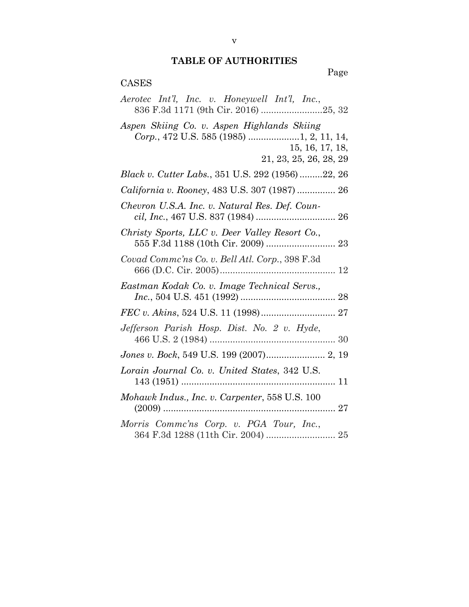# **TABLE OF AUTHORITIES**

Page

# CASES

| Aerotec Int'l, Inc. v. Honeywell Int'l, Inc.,                                          |
|----------------------------------------------------------------------------------------|
| Aspen Skiing Co. v. Aspen Highlands Skiing<br>Corp., 472 U.S. 585 (1985) 1, 2, 11, 14, |
| 15, 16, 17, 18,<br>21, 23, 25, 26, 28, 29                                              |
| Black v. Cutter Labs., 351 U.S. 292 (1956)22, 26                                       |
| California v. Rooney, 483 U.S. 307 (1987)  26                                          |
| Chevron U.S.A. Inc. v. Natural Res. Def. Coun-                                         |
| Christy Sports, LLC v. Deer Valley Resort Co.,                                         |
| Covad Comme'ns Co. v. Bell Atl. Corp., 398 F.3d                                        |
| Eastman Kodak Co. v. Image Technical Servs.,                                           |
|                                                                                        |
| Jefferson Parish Hosp. Dist. No. 2 v. Hyde,                                            |
|                                                                                        |
| Lorain Journal Co. v. United States, 342 U.S.                                          |
| Mohawk Indus., Inc. v. Carpenter, 558 U.S. 100                                         |
| Morris Commc'ns Corp. v. PGA Tour, Inc.,                                               |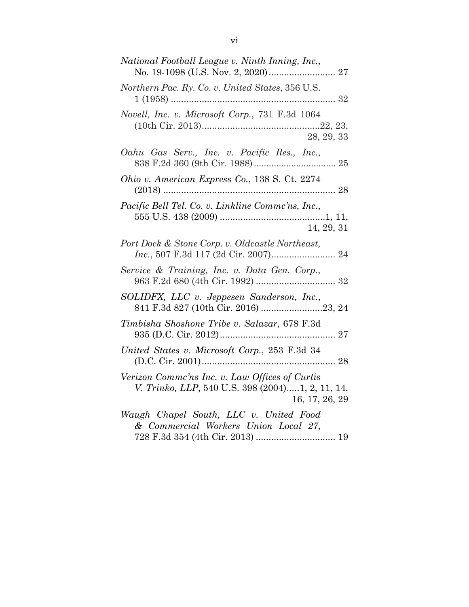| National Football League v. Ninth Inning, Inc.,                                                                      |
|----------------------------------------------------------------------------------------------------------------------|
| Northern Pac. Ry. Co. v. United States, 356 U.S.                                                                     |
| Novell, Inc. v. Microsoft Corp., 731 F.3d 1064                                                                       |
|                                                                                                                      |
| Oahu Gas Serv., Inc. v. Pacific Res., Inc.,                                                                          |
| Ohio v. American Express Co., 138 S. Ct. 2274                                                                        |
| Pacific Bell Tel. Co. v. Linkline Commc'ns, Inc.,                                                                    |
| 14, 29, 31                                                                                                           |
| Port Dock & Stone Corp. v. Oldcastle Northeast,                                                                      |
| Service & Training, Inc. v. Data Gen. Corp.,                                                                         |
| SOLIDFX, LLC v. Jeppesen Sanderson, Inc.,<br>841 F.3d 827 (10th Cir. 2016) 23, 24                                    |
| Timbisha Shoshone Tribe v. Salazar, 678 F.3d                                                                         |
| United States v. Microsoft Corp., 253 F.3d 34                                                                        |
| Verizon Commc'ns Inc. v. Law Offices of Curtis<br>V. Trinko, LLP, 540 U.S. 398 (2004)1, 2, 11, 14,<br>16, 17, 26, 29 |
| Waugh Chapel South, LLC v. United Food<br>& Commercial Workers Union Local 27,                                       |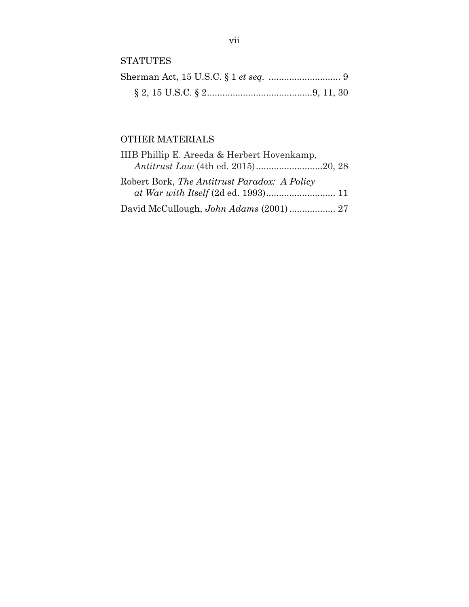# OTHER MATERIALS

| IIIB Phillip E. Areeda & Herbert Hovenkamp,  |  |
|----------------------------------------------|--|
| Antitrust Law (4th ed. 2015)20, 28           |  |
| Robert Bork, The Antitrust Paradox: A Policy |  |
|                                              |  |
|                                              |  |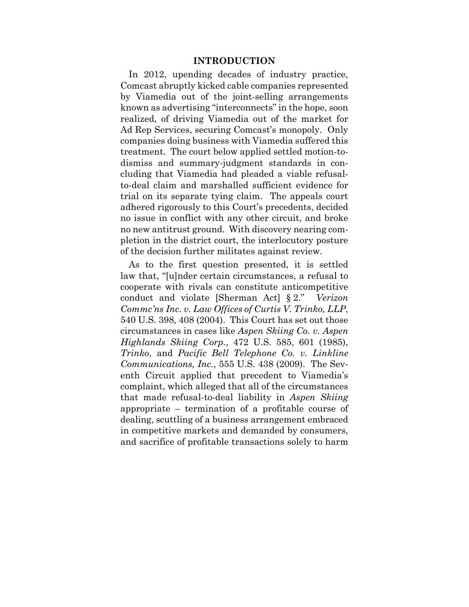#### **INTRODUCTION**

In 2012, upending decades of industry practice, Comcast abruptly kicked cable companies represented by Viamedia out of the joint-selling arrangements known as advertising "interconnects" in the hope, soon realized, of driving Viamedia out of the market for Ad Rep Services, securing Comcast's monopoly. Only companies doing business with Viamedia suffered this treatment. The court below applied settled motion-todismiss and summary-judgment standards in concluding that Viamedia had pleaded a viable refusalto-deal claim and marshalled sufficient evidence for trial on its separate tying claim. The appeals court adhered rigorously to this Court's precedents, decided no issue in conflict with any other circuit, and broke no new antitrust ground. With discovery nearing completion in the district court, the interlocutory posture of the decision further militates against review.

As to the first question presented, it is settled law that, "[u]nder certain circumstances, a refusal to cooperate with rivals can constitute anticompetitive conduct and violate [Sherman Act] § 2." *Verizon Commc'ns Inc. v. Law Offices of Curtis V. Trinko, LLP*, 540 U.S. 398, 408 (2004). This Court has set out those circumstances in cases like *Aspen Skiing Co. v. Aspen Highlands Skiing Corp.*, 472 U.S. 585, 601 (1985), *Trinko*, and *Pacific Bell Telephone Co. v. Linkline Communications, Inc.*, 555 U.S. 438 (2009). The Seventh Circuit applied that precedent to Viamedia's complaint, which alleged that all of the circumstances that made refusal-to-deal liability in *Aspen Skiing*  appropriate – termination of a profitable course of dealing, scuttling of a business arrangement embraced in competitive markets and demanded by consumers, and sacrifice of profitable transactions solely to harm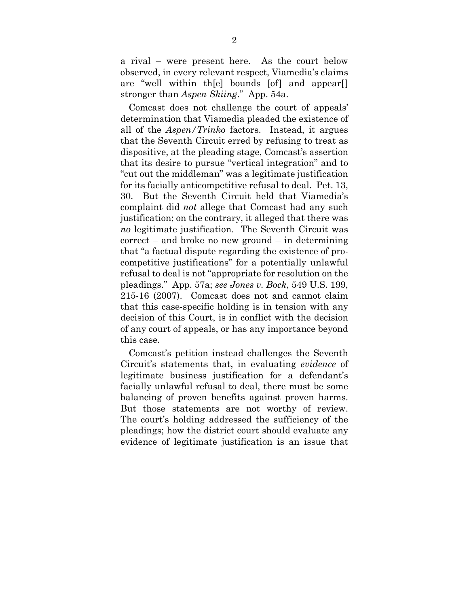a rival – were present here. As the court below observed, in every relevant respect, Viamedia's claims are "well within th[e] bounds [of] and appear[] stronger than *Aspen Skiing*." App. 54a.

Comcast does not challenge the court of appeals' determination that Viamedia pleaded the existence of all of the *Aspen/Trinko* factors. Instead, it argues that the Seventh Circuit erred by refusing to treat as dispositive, at the pleading stage, Comcast's assertion that its desire to pursue "vertical integration" and to "cut out the middleman" was a legitimate justification for its facially anticompetitive refusal to deal. Pet. 13, 30. But the Seventh Circuit held that Viamedia's complaint did *not* allege that Comcast had any such justification; on the contrary, it alleged that there was *no* legitimate justification. The Seventh Circuit was correct – and broke no new ground – in determining that "a factual dispute regarding the existence of procompetitive justifications" for a potentially unlawful refusal to deal is not "appropriate for resolution on the pleadings." App. 57a; *see Jones v. Bock*, 549 U.S. 199, 215-16 (2007). Comcast does not and cannot claim that this case-specific holding is in tension with any decision of this Court, is in conflict with the decision of any court of appeals, or has any importance beyond this case.

Comcast's petition instead challenges the Seventh Circuit's statements that, in evaluating *evidence* of legitimate business justification for a defendant's facially unlawful refusal to deal, there must be some balancing of proven benefits against proven harms. But those statements are not worthy of review. The court's holding addressed the sufficiency of the pleadings; how the district court should evaluate any evidence of legitimate justification is an issue that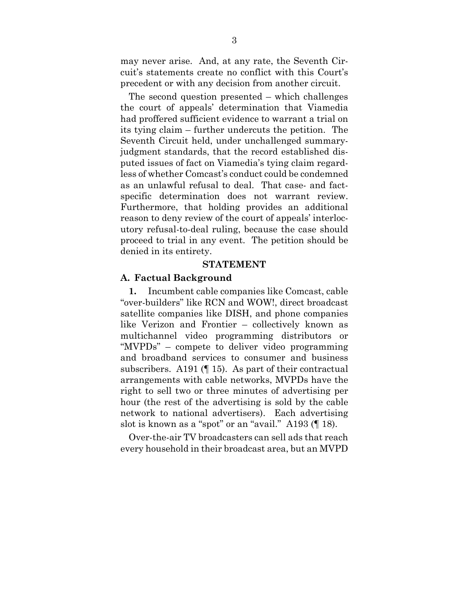may never arise. And, at any rate, the Seventh Circuit's statements create no conflict with this Court's precedent or with any decision from another circuit.

The second question presented – which challenges the court of appeals' determination that Viamedia had proffered sufficient evidence to warrant a trial on its tying claim – further undercuts the petition. The Seventh Circuit held, under unchallenged summaryjudgment standards, that the record established disputed issues of fact on Viamedia's tying claim regardless of whether Comcast's conduct could be condemned as an unlawful refusal to deal. That case- and factspecific determination does not warrant review. Furthermore, that holding provides an additional reason to deny review of the court of appeals' interlocutory refusal-to-deal ruling, because the case should proceed to trial in any event. The petition should be denied in its entirety.

#### **STATEMENT**

#### **A. Factual Background**

**1.** Incumbent cable companies like Comcast, cable "over-builders" like RCN and WOW!, direct broadcast satellite companies like DISH, and phone companies like Verizon and Frontier – collectively known as multichannel video programming distributors or "MVPDs" – compete to deliver video programming and broadband services to consumer and business subscribers. A191 (¶ 15). As part of their contractual arrangements with cable networks, MVPDs have the right to sell two or three minutes of advertising per hour (the rest of the advertising is sold by the cable network to national advertisers). Each advertising slot is known as a "spot" or an "avail." A193 ( $\parallel$  18).

Over-the-air TV broadcasters can sell ads that reach every household in their broadcast area, but an MVPD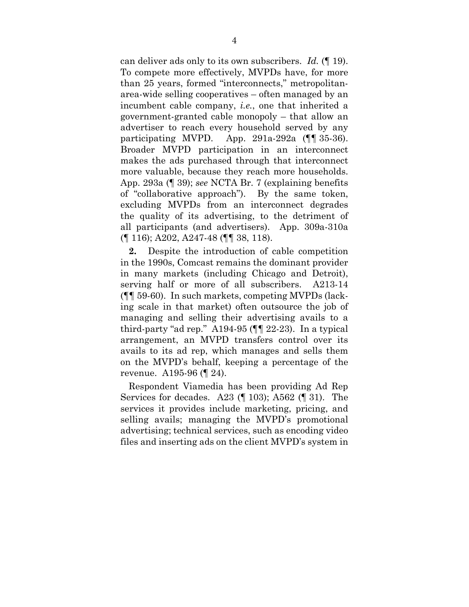can deliver ads only to its own subscribers. *Id.* (¶ 19). To compete more effectively, MVPDs have, for more than 25 years, formed "interconnects," metropolitanarea-wide selling cooperatives – often managed by an incumbent cable company, *i.e.*, one that inherited a government-granted cable monopoly – that allow an advertiser to reach every household served by any participating MVPD. App. 291a-292a (¶¶ 35-36). Broader MVPD participation in an interconnect makes the ads purchased through that interconnect more valuable, because they reach more households. App. 293a (¶ 39); *see* NCTA Br. 7 (explaining benefits of "collaborative approach"). By the same token, excluding MVPDs from an interconnect degrades the quality of its advertising, to the detriment of all participants (and advertisers). App. 309a-310a (¶ 116); A202, A247-48 (¶¶ 38, 118).

**2.** Despite the introduction of cable competition in the 1990s, Comcast remains the dominant provider in many markets (including Chicago and Detroit), serving half or more of all subscribers. A213-14 (¶¶ 59-60). In such markets, competing MVPDs (lacking scale in that market) often outsource the job of managing and selling their advertising avails to a third-party "ad rep." A194-95  $(\P\P 22-23)$ . In a typical arrangement, an MVPD transfers control over its avails to its ad rep, which manages and sells them on the MVPD's behalf, keeping a percentage of the revenue. A195-96 (¶ 24).

Respondent Viamedia has been providing Ad Rep Services for decades. A23 (¶ 103); A562 (¶ 31). The services it provides include marketing, pricing, and selling avails; managing the MVPD's promotional advertising; technical services, such as encoding video files and inserting ads on the client MVPD's system in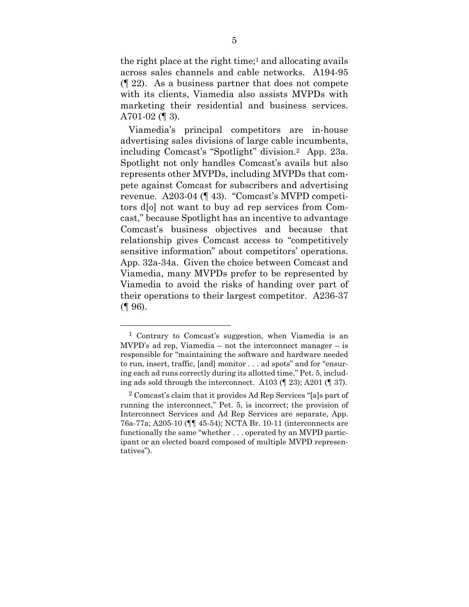the right place at the right time;<sup>1</sup> and allocating avails across sales channels and cable networks. A194-95 (¶ 22). As a business partner that does not compete with its clients, Viamedia also assists MVPDs with marketing their residential and business services. A701-02  $(\P 3)$ .

Viamedia's principal competitors are in-house advertising sales divisions of large cable incumbents, including Comcast's "Spotlight" division.2 App. 23a. Spotlight not only handles Comcast's avails but also represents other MVPDs, including MVPDs that compete against Comcast for subscribers and advertising revenue. A203-04 (¶ 43). "Comcast's MVPD competitors d[o] not want to buy ad rep services from Comcast," because Spotlight has an incentive to advantage Comcast's business objectives and because that relationship gives Comcast access to "competitively sensitive information" about competitors' operations. App. 32a-34a. Given the choice between Comcast and Viamedia, many MVPDs prefer to be represented by Viamedia to avoid the risks of handing over part of their operations to their largest competitor. A236-37  $($ | 96).

-

<sup>1</sup> Contrary to Comcast's suggestion, when Viamedia is an MVPD's ad rep, Viamedia – not the interconnect manager – is responsible for "maintaining the software and hardware needed to run, insert, traffic, [and] monitor . . . ad spots" and for "ensuring each ad runs correctly during its allotted time," Pet. 5, including ads sold through the interconnect. A103 (¶ 23); A201 (¶ 37).

<sup>2</sup> Comcast's claim that it provides Ad Rep Services "[a]s part of running the interconnect," Pet. 5, is incorrect; the provision of Interconnect Services and Ad Rep Services are separate, App. 76a-77a; A205-10 (¶¶ 45-54); NCTA Br. 10-11 (interconnects are functionally the same "whether . . . operated by an MVPD participant or an elected board composed of multiple MVPD representatives").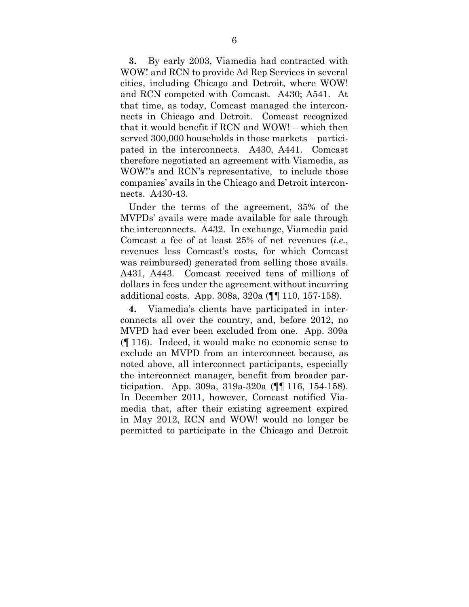**3.** By early 2003, Viamedia had contracted with WOW! and RCN to provide Ad Rep Services in several cities, including Chicago and Detroit, where WOW! and RCN competed with Comcast. A430; A541. At that time, as today, Comcast managed the interconnects in Chicago and Detroit. Comcast recognized that it would benefit if RCN and WOW! – which then served 300,000 households in those markets – participated in the interconnects. A430, A441. Comcast therefore negotiated an agreement with Viamedia, as WOW!'s and RCN's representative, to include those companies' avails in the Chicago and Detroit interconnects. A430-43.

Under the terms of the agreement, 35% of the MVPDs' avails were made available for sale through the interconnects. A432. In exchange, Viamedia paid Comcast a fee of at least 25% of net revenues (*i.e.*, revenues less Comcast's costs, for which Comcast was reimbursed) generated from selling those avails. A431, A443. Comcast received tens of millions of dollars in fees under the agreement without incurring additional costs. App. 308a, 320a (¶¶ 110, 157-158).

**4.** Viamedia's clients have participated in interconnects all over the country, and, before 2012, no MVPD had ever been excluded from one. App. 309a (¶ 116). Indeed, it would make no economic sense to exclude an MVPD from an interconnect because, as noted above, all interconnect participants, especially the interconnect manager, benefit from broader participation. App. 309a, 319a-320a (¶¶ 116, 154-158). In December 2011, however, Comcast notified Viamedia that, after their existing agreement expired in May 2012, RCN and WOW! would no longer be permitted to participate in the Chicago and Detroit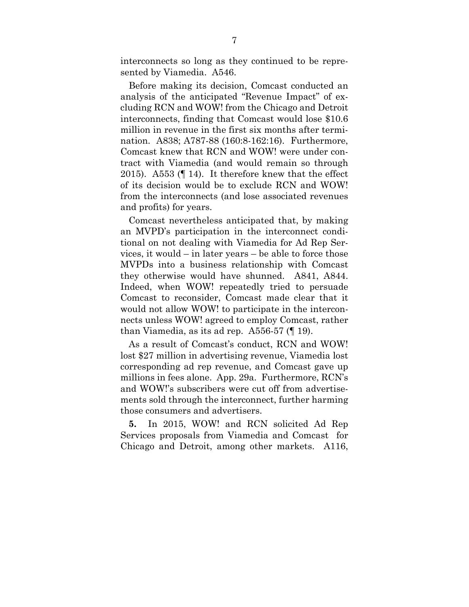interconnects so long as they continued to be represented by Viamedia. A546.

Before making its decision, Comcast conducted an analysis of the anticipated "Revenue Impact" of excluding RCN and WOW! from the Chicago and Detroit interconnects, finding that Comcast would lose \$10.6 million in revenue in the first six months after termination. A838; A787-88 (160:8-162:16). Furthermore, Comcast knew that RCN and WOW! were under contract with Viamedia (and would remain so through 2015). A553 (¶ 14). It therefore knew that the effect of its decision would be to exclude RCN and WOW! from the interconnects (and lose associated revenues and profits) for years.

Comcast nevertheless anticipated that, by making an MVPD's participation in the interconnect conditional on not dealing with Viamedia for Ad Rep Services, it would – in later years – be able to force those MVPDs into a business relationship with Comcast they otherwise would have shunned. A841, A844. Indeed, when WOW! repeatedly tried to persuade Comcast to reconsider, Comcast made clear that it would not allow WOW! to participate in the interconnects unless WOW! agreed to employ Comcast, rather than Viamedia, as its ad rep. A556-57 (¶ 19).

As a result of Comcast's conduct, RCN and WOW! lost \$27 million in advertising revenue, Viamedia lost corresponding ad rep revenue, and Comcast gave up millions in fees alone. App. 29a. Furthermore, RCN's and WOW!'s subscribers were cut off from advertisements sold through the interconnect, further harming those consumers and advertisers.

**5.** In 2015, WOW! and RCN solicited Ad Rep Services proposals from Viamedia and Comcast for Chicago and Detroit, among other markets. A116,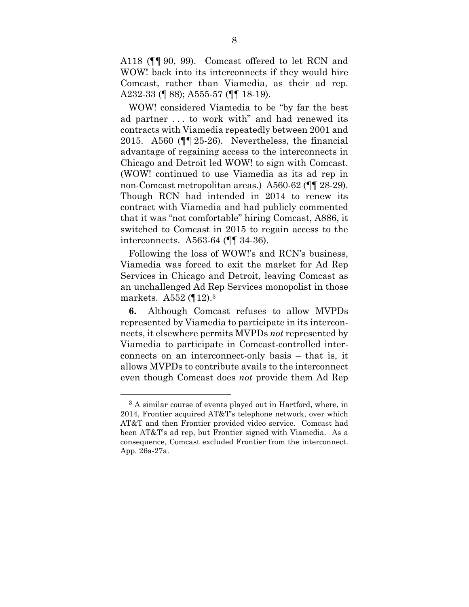A118 (¶¶ 90, 99). Comcast offered to let RCN and WOW! back into its interconnects if they would hire Comcast, rather than Viamedia, as their ad rep. A232-33 (¶ 88); A555-57 (¶¶ 18-19).

WOW! considered Viamedia to be "by far the best ad partner . . . to work with" and had renewed its contracts with Viamedia repeatedly between 2001 and 2015. A560 (¶¶ 25-26). Nevertheless, the financial advantage of regaining access to the interconnects in Chicago and Detroit led WOW! to sign with Comcast. (WOW! continued to use Viamedia as its ad rep in non-Comcast metropolitan areas.) A560-62 (¶¶ 28-29). Though RCN had intended in 2014 to renew its contract with Viamedia and had publicly commented that it was "not comfortable" hiring Comcast, A886, it switched to Comcast in 2015 to regain access to the interconnects. A563-64 (¶¶ 34-36).

Following the loss of WOW!'s and RCN's business, Viamedia was forced to exit the market for Ad Rep Services in Chicago and Detroit, leaving Comcast as an unchallenged Ad Rep Services monopolist in those markets. A552 (¶12).3

**6.** Although Comcast refuses to allow MVPDs represented by Viamedia to participate in its interconnects, it elsewhere permits MVPDs *not* represented by Viamedia to participate in Comcast-controlled interconnects on an interconnect-only basis – that is, it allows MVPDs to contribute avails to the interconnect even though Comcast does *not* provide them Ad Rep

 $\overline{a}$ 

<sup>3</sup> A similar course of events played out in Hartford, where, in 2014, Frontier acquired AT&T's telephone network, over which AT&T and then Frontier provided video service. Comcast had been AT&T's ad rep, but Frontier signed with Viamedia. As a consequence, Comcast excluded Frontier from the interconnect. App. 26a-27a.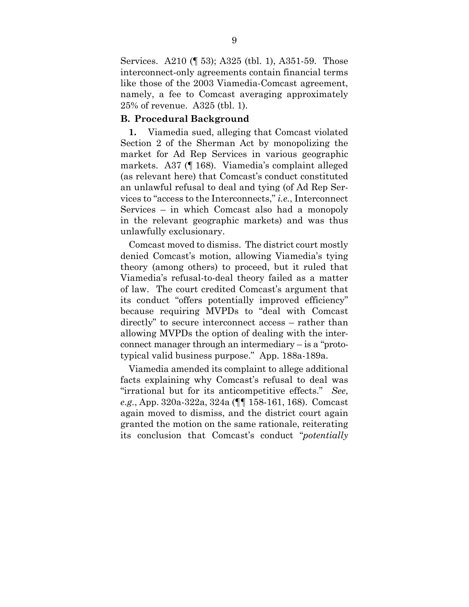Services. A210 (¶ 53); A325 (tbl. 1), A351-59. Those interconnect-only agreements contain financial terms like those of the 2003 Viamedia-Comcast agreement, namely, a fee to Comcast averaging approximately 25% of revenue. A325 (tbl. 1).

#### **B. Procedural Background**

**1.** Viamedia sued, alleging that Comcast violated Section 2 of the Sherman Act by monopolizing the market for Ad Rep Services in various geographic markets. A37 (¶ 168). Viamedia's complaint alleged (as relevant here) that Comcast's conduct constituted an unlawful refusal to deal and tying (of Ad Rep Services to "access to the Interconnects," *i.e.*, Interconnect Services – in which Comcast also had a monopoly in the relevant geographic markets) and was thus unlawfully exclusionary.

Comcast moved to dismiss. The district court mostly denied Comcast's motion, allowing Viamedia's tying theory (among others) to proceed, but it ruled that Viamedia's refusal-to-deal theory failed as a matter of law. The court credited Comcast's argument that its conduct "offers potentially improved efficiency" because requiring MVPDs to "deal with Comcast directly" to secure interconnect access – rather than allowing MVPDs the option of dealing with the interconnect manager through an intermediary – is a "prototypical valid business purpose." App. 188a-189a.

Viamedia amended its complaint to allege additional facts explaining why Comcast's refusal to deal was "irrational but for its anticompetitive effects." *See*, *e.g.*, App. 320a-322a, 324a (¶¶ 158-161, 168). Comcast again moved to dismiss, and the district court again granted the motion on the same rationale, reiterating its conclusion that Comcast's conduct "*potentially*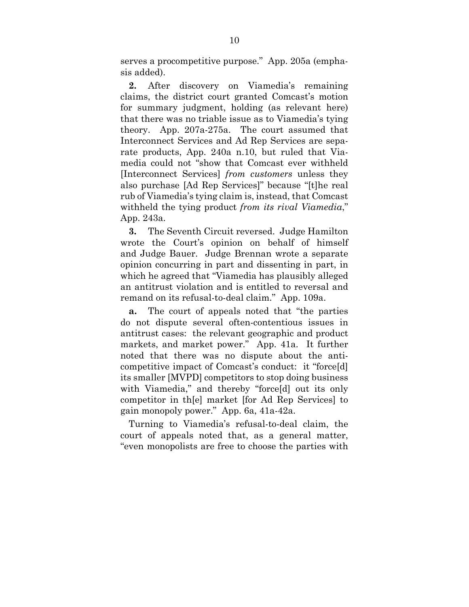serves a procompetitive purpose." App. 205a (emphasis added).

**2.** After discovery on Viamedia's remaining claims, the district court granted Comcast's motion for summary judgment, holding (as relevant here) that there was no triable issue as to Viamedia's tying theory. App. 207a-275a. The court assumed that Interconnect Services and Ad Rep Services are separate products, App. 240a n.10, but ruled that Viamedia could not "show that Comcast ever withheld [Interconnect Services] *from customers* unless they also purchase [Ad Rep Services]" because "[t]he real rub of Viamedia's tying claim is, instead, that Comcast withheld the tying product *from its rival Viamedia*," App. 243a.

**3.** The Seventh Circuit reversed. Judge Hamilton wrote the Court's opinion on behalf of himself and Judge Bauer. Judge Brennan wrote a separate opinion concurring in part and dissenting in part, in which he agreed that "Viamedia has plausibly alleged an antitrust violation and is entitled to reversal and remand on its refusal-to-deal claim." App. 109a.

**a.** The court of appeals noted that "the parties do not dispute several often-contentious issues in antitrust cases: the relevant geographic and product markets, and market power." App. 41a. It further noted that there was no dispute about the anticompetitive impact of Comcast's conduct: it "force[d] its smaller [MVPD] competitors to stop doing business with Viamedia," and thereby "force[d] out its only competitor in th[e] market [for Ad Rep Services] to gain monopoly power." App. 6a, 41a-42a.

Turning to Viamedia's refusal-to-deal claim, the court of appeals noted that, as a general matter, "even monopolists are free to choose the parties with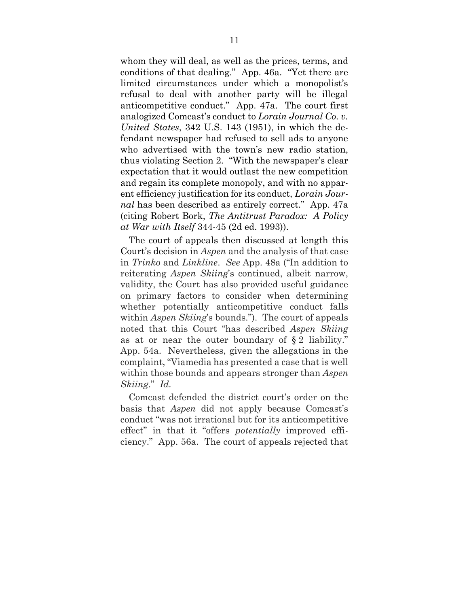whom they will deal, as well as the prices, terms, and conditions of that dealing." App. 46a. "Yet there are limited circumstances under which a monopolist's refusal to deal with another party will be illegal anticompetitive conduct." App. 47a. The court first analogized Comcast's conduct to *Lorain Journal Co. v. United States*, 342 U.S. 143 (1951), in which the defendant newspaper had refused to sell ads to anyone who advertised with the town's new radio station, thus violating Section 2. "With the newspaper's clear expectation that it would outlast the new competition and regain its complete monopoly, and with no apparent efficiency justification for its conduct, *Lorain Journal* has been described as entirely correct." App. 47a (citing Robert Bork, *The Antitrust Paradox: A Policy at War with Itself* 344-45 (2d ed. 1993)).

The court of appeals then discussed at length this Court's decision in *Aspen* and the analysis of that case in *Trinko* and *Linkline*. *See* App. 48a ("In addition to reiterating *Aspen Skiing*'s continued, albeit narrow, validity, the Court has also provided useful guidance on primary factors to consider when determining whether potentially anticompetitive conduct falls within *Aspen Skiing*'s bounds."). The court of appeals noted that this Court "has described *Aspen Skiing* as at or near the outer boundary of § 2 liability." App. 54a. Nevertheless, given the allegations in the complaint, "Viamedia has presented a case that is well within those bounds and appears stronger than *Aspen Skiing*." *Id.*

Comcast defended the district court's order on the basis that *Aspen* did not apply because Comcast's conduct "was not irrational but for its anticompetitive effect" in that it "offers *potentially* improved efficiency." App. 56a. The court of appeals rejected that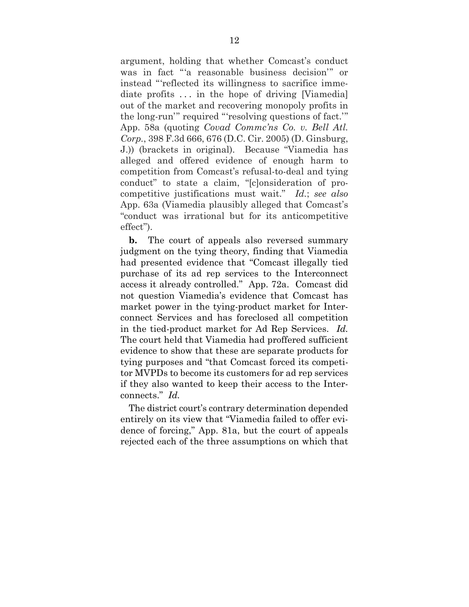argument, holding that whether Comcast's conduct was in fact "'a reasonable business decision'" or instead "'reflected its willingness to sacrifice immediate profits ... in the hope of driving [Viamedia] out of the market and recovering monopoly profits in the long-run'" required "'resolving questions of fact.'" App. 58a (quoting *Covad Commc'ns Co. v. Bell Atl. Corp.*, 398 F.3d 666, 676 (D.C. Cir. 2005) (D. Ginsburg, J.)) (brackets in original). Because "Viamedia has alleged and offered evidence of enough harm to competition from Comcast's refusal-to-deal and tying conduct" to state a claim, "[c]onsideration of procompetitive justifications must wait." *Id.*; *see also* App. 63a (Viamedia plausibly alleged that Comcast's "conduct was irrational but for its anticompetitive effect").

**b.** The court of appeals also reversed summary judgment on the tying theory, finding that Viamedia had presented evidence that "Comcast illegally tied purchase of its ad rep services to the Interconnect access it already controlled." App. 72a. Comcast did not question Viamedia's evidence that Comcast has market power in the tying-product market for Interconnect Services and has foreclosed all competition in the tied-product market for Ad Rep Services. *Id.* The court held that Viamedia had proffered sufficient evidence to show that these are separate products for tying purposes and "that Comcast forced its competitor MVPDs to become its customers for ad rep services if they also wanted to keep their access to the Interconnects." *Id.*

The district court's contrary determination depended entirely on its view that "Viamedia failed to offer evidence of forcing," App. 81a, but the court of appeals rejected each of the three assumptions on which that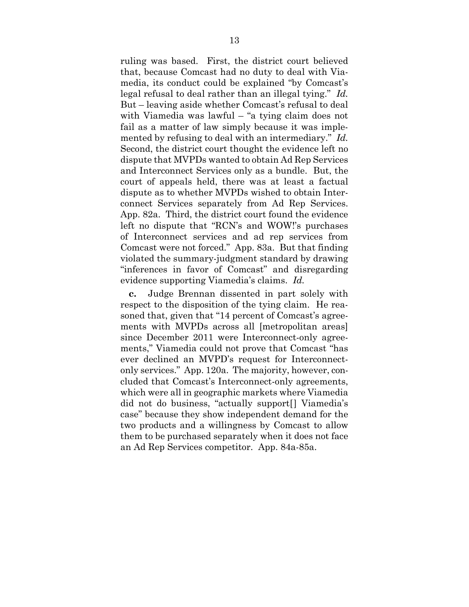ruling was based. First, the district court believed that, because Comcast had no duty to deal with Viamedia, its conduct could be explained "by Comcast's legal refusal to deal rather than an illegal tying." *Id.* But – leaving aside whether Comcast's refusal to deal with Viamedia was lawful – "a tying claim does not fail as a matter of law simply because it was implemented by refusing to deal with an intermediary." *Id.* Second, the district court thought the evidence left no dispute that MVPDs wanted to obtain Ad Rep Services and Interconnect Services only as a bundle. But, the court of appeals held, there was at least a factual dispute as to whether MVPDs wished to obtain Interconnect Services separately from Ad Rep Services. App. 82a. Third, the district court found the evidence left no dispute that "RCN's and WOW!'s purchases of Interconnect services and ad rep services from Comcast were not forced." App. 83a. But that finding violated the summary-judgment standard by drawing "inferences in favor of Comcast" and disregarding evidence supporting Viamedia's claims. *Id.*

**c.** Judge Brennan dissented in part solely with respect to the disposition of the tying claim. He reasoned that, given that "14 percent of Comcast's agreements with MVPDs across all [metropolitan areas] since December 2011 were Interconnect-only agreements," Viamedia could not prove that Comcast "has ever declined an MVPD's request for Interconnectonly services." App. 120a. The majority, however, concluded that Comcast's Interconnect-only agreements, which were all in geographic markets where Viamedia did not do business, "actually support[] Viamedia's case" because they show independent demand for the two products and a willingness by Comcast to allow them to be purchased separately when it does not face an Ad Rep Services competitor. App. 84a-85a.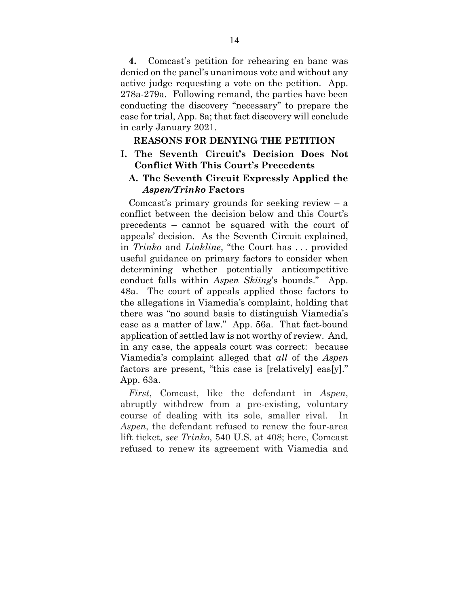**4.** Comcast's petition for rehearing en banc was denied on the panel's unanimous vote and without any active judge requesting a vote on the petition. App. 278a-279a. Following remand, the parties have been conducting the discovery "necessary" to prepare the case for trial, App. 8a; that fact discovery will conclude in early January 2021.

#### **REASONS FOR DENYING THE PETITION**

#### **I. The Seventh Circuit's Decision Does Not Conflict With This Court's Precedents**

### **A. The Seventh Circuit Expressly Applied the**  *Aspen/Trinko* **Factors**

Comcast's primary grounds for seeking review – a conflict between the decision below and this Court's precedents – cannot be squared with the court of appeals' decision. As the Seventh Circuit explained, in *Trinko* and *Linkline*, "the Court has . . . provided useful guidance on primary factors to consider when determining whether potentially anticompetitive conduct falls within *Aspen Skiing*'s bounds." App. 48a. The court of appeals applied those factors to the allegations in Viamedia's complaint, holding that there was "no sound basis to distinguish Viamedia's case as a matter of law." App. 56a. That fact-bound application of settled law is not worthy of review. And, in any case, the appeals court was correct: because Viamedia's complaint alleged that *all* of the *Aspen*  factors are present, "this case is [relatively] eas[y]." App. 63a.

*First*, Comcast, like the defendant in *Aspen*, abruptly withdrew from a pre-existing, voluntary course of dealing with its sole, smaller rival. In *Aspen*, the defendant refused to renew the four-area lift ticket, *see Trinko*, 540 U.S. at 408; here, Comcast refused to renew its agreement with Viamedia and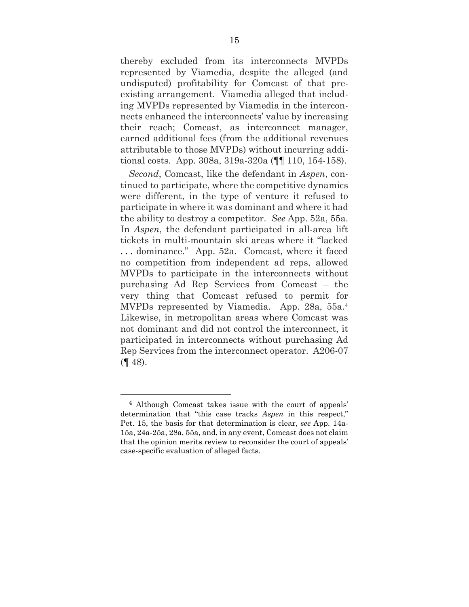thereby excluded from its interconnects MVPDs represented by Viamedia, despite the alleged (and undisputed) profitability for Comcast of that preexisting arrangement. Viamedia alleged that including MVPDs represented by Viamedia in the interconnects enhanced the interconnects' value by increasing their reach; Comcast, as interconnect manager, earned additional fees (from the additional revenues attributable to those MVPDs) without incurring additional costs. App. 308a, 319a-320a (¶¶ 110, 154-158).

*Second*, Comcast, like the defendant in *Aspen*, continued to participate, where the competitive dynamics were different, in the type of venture it refused to participate in where it was dominant and where it had the ability to destroy a competitor. *See* App. 52a, 55a. In *Aspen*, the defendant participated in all-area lift tickets in multi-mountain ski areas where it "lacked ... dominance." App. 52a. Comcast, where it faced no competition from independent ad reps, allowed MVPDs to participate in the interconnects without purchasing Ad Rep Services from Comcast – the very thing that Comcast refused to permit for MVPDs represented by Viamedia. App. 28a, 55a.4 Likewise, in metropolitan areas where Comcast was not dominant and did not control the interconnect, it participated in interconnects without purchasing Ad Rep Services from the interconnect operator. A206-07  $($ | 48).

 $\overline{a}$ 

<sup>4</sup> Although Comcast takes issue with the court of appeals' determination that "this case tracks *Aspen* in this respect," Pet. 15, the basis for that determination is clear, *see* App. 14a-15a, 24a-25a, 28a, 55a, and, in any event, Comcast does not claim that the opinion merits review to reconsider the court of appeals' case-specific evaluation of alleged facts.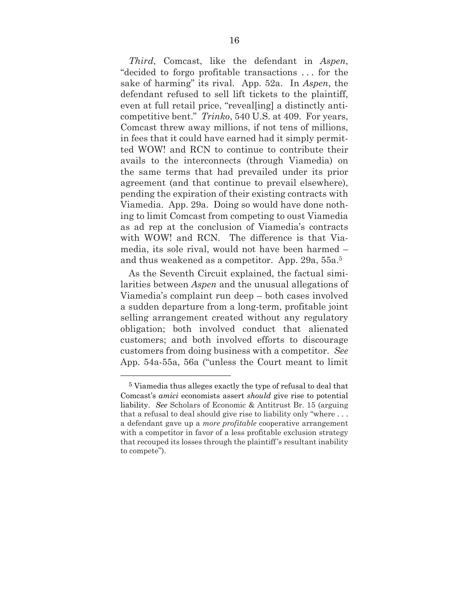*Third*, Comcast, like the defendant in *Aspen*, "decided to forgo profitable transactions ... for the sake of harming" its rival. App. 52a. In *Aspen*, the defendant refused to sell lift tickets to the plaintiff, even at full retail price, "reveal[ing] a distinctly anticompetitive bent." *Trinko*, 540 U.S. at 409. For years, Comcast threw away millions, if not tens of millions, in fees that it could have earned had it simply permitted WOW! and RCN to continue to contribute their avails to the interconnects (through Viamedia) on the same terms that had prevailed under its prior agreement (and that continue to prevail elsewhere), pending the expiration of their existing contracts with Viamedia. App. 29a. Doing so would have done nothing to limit Comcast from competing to oust Viamedia as ad rep at the conclusion of Viamedia's contracts with WOW! and RCN. The difference is that Viamedia, its sole rival, would not have been harmed – and thus weakened as a competitor. App. 29a, 55a.5

As the Seventh Circuit explained, the factual similarities between *Aspen* and the unusual allegations of Viamedia's complaint run deep – both cases involved a sudden departure from a long-term, profitable joint selling arrangement created without any regulatory obligation; both involved conduct that alienated customers; and both involved efforts to discourage customers from doing business with a competitor. *See*  App. 54a-55a, 56a ("unless the Court meant to limit

 $\overline{a}$ 

<sup>5</sup> Viamedia thus alleges exactly the type of refusal to deal that Comcast's *amici* economists assert *should* give rise to potential liability. *See* Scholars of Economic & Antitrust Br. 15 (arguing that a refusal to deal should give rise to liability only "where ... a defendant gave up a *more profitable* cooperative arrangement with a competitor in favor of a less profitable exclusion strategy that recouped its losses through the plaintiff's resultant inability to compete").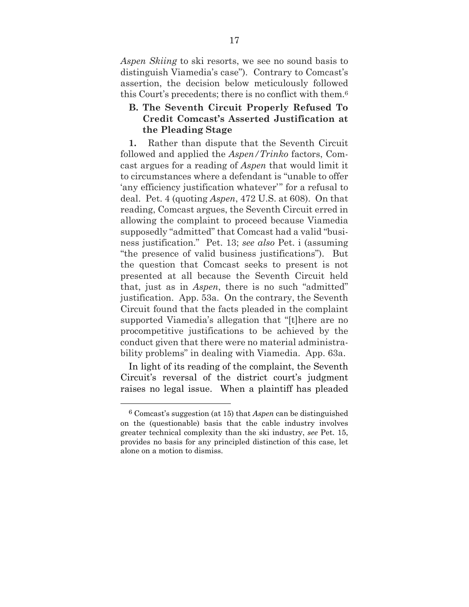*Aspen Skiing* to ski resorts, we see no sound basis to distinguish Viamedia's case"). Contrary to Comcast's assertion, the decision below meticulously followed this Court's precedents; there is no conflict with them.6

## **B. The Seventh Circuit Properly Refused To Credit Comcast's Asserted Justification at the Pleading Stage**

**1.** Rather than dispute that the Seventh Circuit followed and applied the *Aspen/Trinko* factors, Comcast argues for a reading of *Aspen* that would limit it to circumstances where a defendant is "unable to offer 'any efficiency justification whatever'" for a refusal to deal. Pet. 4 (quoting *Aspen*, 472 U.S. at 608). On that reading, Comcast argues, the Seventh Circuit erred in allowing the complaint to proceed because Viamedia supposedly "admitted" that Comcast had a valid "business justification." Pet. 13; *see also* Pet. i (assuming "the presence of valid business justifications"). But the question that Comcast seeks to present is not presented at all because the Seventh Circuit held that, just as in *Aspen*, there is no such "admitted" justification. App. 53a. On the contrary, the Seventh Circuit found that the facts pleaded in the complaint supported Viamedia's allegation that "[t]here are no procompetitive justifications to be achieved by the conduct given that there were no material administrability problems" in dealing with Viamedia. App. 63a.

In light of its reading of the complaint, the Seventh Circuit's reversal of the district court's judgment raises no legal issue. When a plaintiff has pleaded

-

<sup>6</sup> Comcast's suggestion (at 15) that *Aspen* can be distinguished on the (questionable) basis that the cable industry involves greater technical complexity than the ski industry, *see* Pet. 15, provides no basis for any principled distinction of this case, let alone on a motion to dismiss.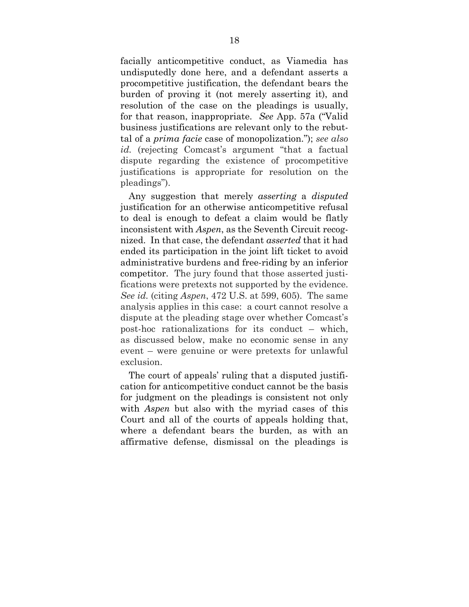facially anticompetitive conduct, as Viamedia has undisputedly done here, and a defendant asserts a procompetitive justification, the defendant bears the burden of proving it (not merely asserting it), and resolution of the case on the pleadings is usually, for that reason, inappropriate. *See* App. 57a ("Valid business justifications are relevant only to the rebuttal of a *prima facie* case of monopolization."); *see also*  id. (rejecting Comcast's argument "that a factual dispute regarding the existence of procompetitive justifications is appropriate for resolution on the pleadings").

Any suggestion that merely *asserting* a *disputed* justification for an otherwise anticompetitive refusal to deal is enough to defeat a claim would be flatly inconsistent with *Aspen*, as the Seventh Circuit recognized. In that case, the defendant *asserted* that it had ended its participation in the joint lift ticket to avoid administrative burdens and free-riding by an inferior competitor. The jury found that those asserted justifications were pretexts not supported by the evidence. *See id.* (citing *Aspen*, 472 U.S. at 599, 605). The same analysis applies in this case: a court cannot resolve a dispute at the pleading stage over whether Comcast's post-hoc rationalizations for its conduct – which, as discussed below, make no economic sense in any event – were genuine or were pretexts for unlawful exclusion.

The court of appeals' ruling that a disputed justification for anticompetitive conduct cannot be the basis for judgment on the pleadings is consistent not only with *Aspen* but also with the myriad cases of this Court and all of the courts of appeals holding that, where a defendant bears the burden, as with an affirmative defense, dismissal on the pleadings is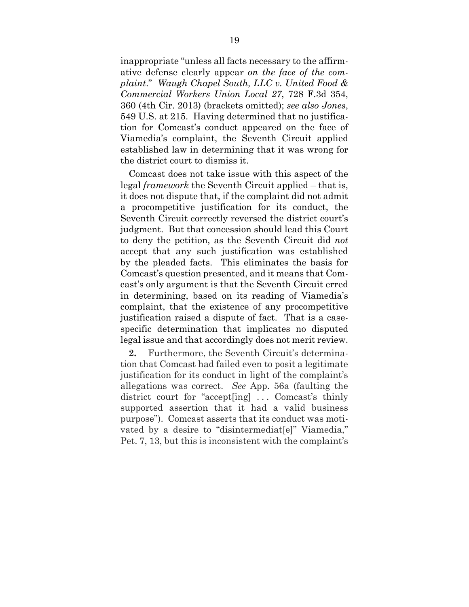inappropriate "unless all facts necessary to the affirmative defense clearly appear *on the face of the complaint*." *Waugh Chapel South, LLC v. United Food & Commercial Workers Union Local 27*, 728 F.3d 354, 360 (4th Cir. 2013) (brackets omitted); *see also Jones*, 549 U.S. at 215. Having determined that no justification for Comcast's conduct appeared on the face of Viamedia's complaint, the Seventh Circuit applied established law in determining that it was wrong for the district court to dismiss it.

Comcast does not take issue with this aspect of the legal *framework* the Seventh Circuit applied – that is, it does not dispute that, if the complaint did not admit a procompetitive justification for its conduct, the Seventh Circuit correctly reversed the district court's judgment. But that concession should lead this Court to deny the petition, as the Seventh Circuit did *not* accept that any such justification was established by the pleaded facts. This eliminates the basis for Comcast's question presented, and it means that Comcast's only argument is that the Seventh Circuit erred in determining, based on its reading of Viamedia's complaint, that the existence of any procompetitive justification raised a dispute of fact. That is a casespecific determination that implicates no disputed legal issue and that accordingly does not merit review.

**2.** Furthermore, the Seventh Circuit's determination that Comcast had failed even to posit a legitimate justification for its conduct in light of the complaint's allegations was correct. *See* App. 56a (faulting the district court for "accept [ing] ... Comeast's thinly supported assertion that it had a valid business purpose"). Comcast asserts that its conduct was motivated by a desire to "disintermediat<sup>[e]"</sup> Viamedia," Pet. 7, 13, but this is inconsistent with the complaint's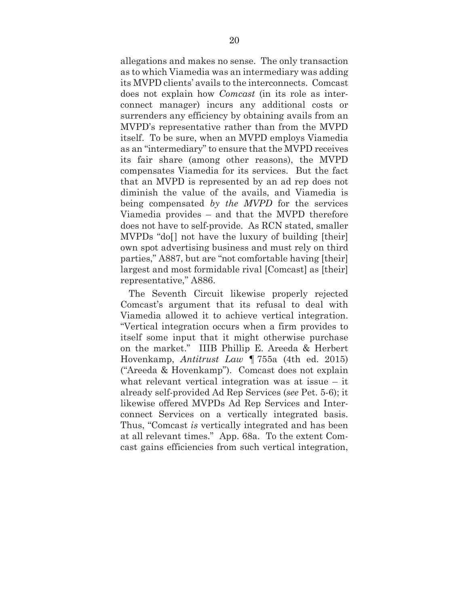allegations and makes no sense. The only transaction as to which Viamedia was an intermediary was adding its MVPD clients' avails to the interconnects. Comcast does not explain how *Comcast* (in its role as interconnect manager) incurs any additional costs or surrenders any efficiency by obtaining avails from an MVPD's representative rather than from the MVPD itself. To be sure, when an MVPD employs Viamedia as an "intermediary" to ensure that the MVPD receives its fair share (among other reasons), the MVPD compensates Viamedia for its services. But the fact that an MVPD is represented by an ad rep does not diminish the value of the avails, and Viamedia is being compensated *by the MVPD* for the services Viamedia provides – and that the MVPD therefore does not have to self-provide. As RCN stated, smaller MVPDs "do[] not have the luxury of building [their] own spot advertising business and must rely on third parties," A887, but are "not comfortable having [their] largest and most formidable rival [Comcast] as [their] representative," A886.

The Seventh Circuit likewise properly rejected Comcast's argument that its refusal to deal with Viamedia allowed it to achieve vertical integration. "Vertical integration occurs when a firm provides to itself some input that it might otherwise purchase on the market." IIIB Phillip E. Areeda & Herbert Hovenkamp, *Antitrust Law* ¶ 755a (4th ed. 2015) ("Areeda & Hovenkamp"). Comcast does not explain what relevant vertical integration was at issue – it already self-provided Ad Rep Services (*see* Pet. 5-6); it likewise offered MVPDs Ad Rep Services and Interconnect Services on a vertically integrated basis. Thus, "Comcast *is* vertically integrated and has been at all relevant times." App. 68a. To the extent Comcast gains efficiencies from such vertical integration,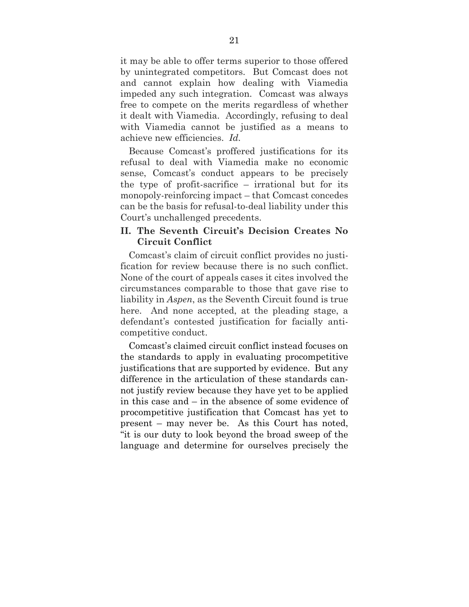it may be able to offer terms superior to those offered by unintegrated competitors. But Comcast does not and cannot explain how dealing with Viamedia impeded any such integration. Comcast was always free to compete on the merits regardless of whether it dealt with Viamedia. Accordingly, refusing to deal with Viamedia cannot be justified as a means to achieve new efficiencies. *Id.*

Because Comcast's proffered justifications for its refusal to deal with Viamedia make no economic sense, Comcast's conduct appears to be precisely the type of profit-sacrifice – irrational but for its monopoly-reinforcing impact – that Comcast concedes can be the basis for refusal-to-deal liability under this Court's unchallenged precedents.

### **II. The Seventh Circuit's Decision Creates No Circuit Conflict**

Comcast's claim of circuit conflict provides no justification for review because there is no such conflict. None of the court of appeals cases it cites involved the circumstances comparable to those that gave rise to liability in *Aspen*, as the Seventh Circuit found is true here. And none accepted, at the pleading stage, a defendant's contested justification for facially anticompetitive conduct.

Comcast's claimed circuit conflict instead focuses on the standards to apply in evaluating procompetitive justifications that are supported by evidence. But any difference in the articulation of these standards cannot justify review because they have yet to be applied in this case and – in the absence of some evidence of procompetitive justification that Comcast has yet to present – may never be. As this Court has noted, "it is our duty to look beyond the broad sweep of the language and determine for ourselves precisely the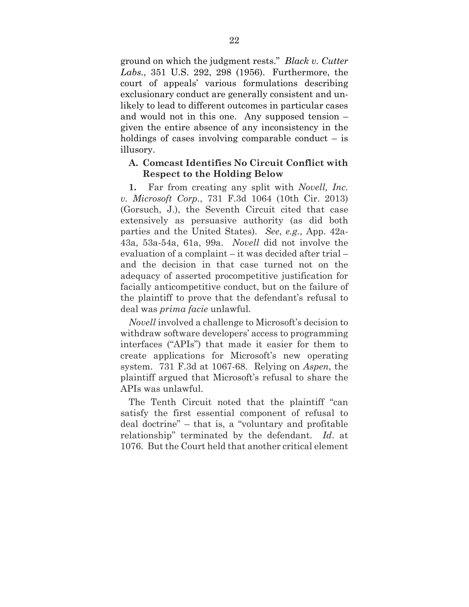ground on which the judgment rests." *Black v. Cutter Labs.*, 351 U.S. 292, 298 (1956). Furthermore, the court of appeals' various formulations describing exclusionary conduct are generally consistent and unlikely to lead to different outcomes in particular cases and would not in this one. Any supposed tension – given the entire absence of any inconsistency in the holdings of cases involving comparable conduct  $-$  is illusory.

### **A. Comcast Identifies No Circuit Conflict with Respect to the Holding Below**

**1.** Far from creating any split with *Novell, Inc. v. Microsoft Corp.*, 731 F.3d 1064 (10th Cir. 2013) (Gorsuch, J.), the Seventh Circuit cited that case extensively as persuasive authority (as did both parties and the United States). *See*, *e.g.*, App. 42a-43a, 53a-54a, 61a, 99a. *Novell* did not involve the evaluation of a complaint – it was decided after trial – and the decision in that case turned not on the adequacy of asserted procompetitive justification for facially anticompetitive conduct, but on the failure of the plaintiff to prove that the defendant's refusal to deal was *prima facie* unlawful.

*Novell* involved a challenge to Microsoft's decision to withdraw software developers' access to programming interfaces ("APIs") that made it easier for them to create applications for Microsoft's new operating system. 731 F.3d at 1067-68. Relying on *Aspen*, the plaintiff argued that Microsoft's refusal to share the APIs was unlawful.

The Tenth Circuit noted that the plaintiff "can satisfy the first essential component of refusal to deal doctrine" – that is, a "voluntary and profitable relationship" terminated by the defendant. *Id*. at 1076. But the Court held that another critical element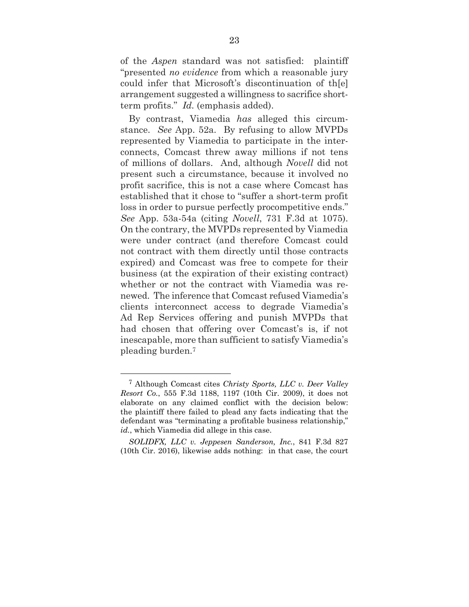of the *Aspen* standard was not satisfied: plaintiff "presented *no evidence* from which a reasonable jury could infer that Microsoft's discontinuation of th[e] arrangement suggested a willingness to sacrifice shortterm profits." *Id.* (emphasis added).

By contrast, Viamedia *has* alleged this circumstance. *See* App. 52a. By refusing to allow MVPDs represented by Viamedia to participate in the interconnects, Comcast threw away millions if not tens of millions of dollars. And, although *Novell* did not present such a circumstance, because it involved no profit sacrifice, this is not a case where Comcast has established that it chose to "suffer a short-term profit loss in order to pursue perfectly procompetitive ends." *See* App. 53a-54a (citing *Novell*, 731 F.3d at 1075). On the contrary, the MVPDs represented by Viamedia were under contract (and therefore Comcast could not contract with them directly until those contracts expired) and Comcast was free to compete for their business (at the expiration of their existing contract) whether or not the contract with Viamedia was renewed. The inference that Comcast refused Viamedia's clients interconnect access to degrade Viamedia's Ad Rep Services offering and punish MVPDs that had chosen that offering over Comcast's is, if not inescapable, more than sufficient to satisfy Viamedia's pleading burden.7

 $\overline{a}$ 

<sup>7</sup> Although Comcast cites *Christy Sports, LLC v. Deer Valley Resort Co.*, 555 F.3d 1188, 1197 (10th Cir. 2009), it does not elaborate on any claimed conflict with the decision below: the plaintiff there failed to plead any facts indicating that the defendant was "terminating a profitable business relationship," *id.*, which Viamedia did allege in this case.

*SOLIDFX, LLC v. Jeppesen Sanderson, Inc.*, 841 F.3d 827 (10th Cir. 2016), likewise adds nothing: in that case, the court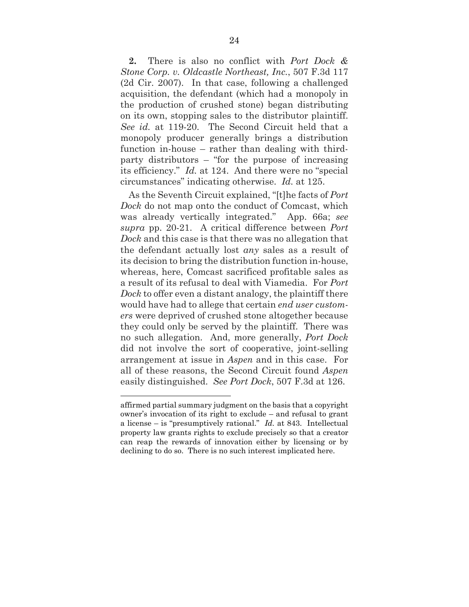**2.** There is also no conflict with *Port Dock & Stone Corp. v. Oldcastle Northeast, Inc.*, 507 F.3d 117 (2d Cir. 2007). In that case, following a challenged acquisition, the defendant (which had a monopoly in the production of crushed stone) began distributing on its own, stopping sales to the distributor plaintiff. *See id.* at 119-20. The Second Circuit held that a monopoly producer generally brings a distribution function in-house – rather than dealing with thirdparty distributors – "for the purpose of increasing its efficiency." *Id.* at 124. And there were no "special circumstances" indicating otherwise. *Id.* at 125.

As the Seventh Circuit explained, "[t]he facts of *Port Dock* do not map onto the conduct of Comcast, which was already vertically integrated." App. 66a; *see supra* pp. 20-21. A critical difference between *Port Dock* and this case is that there was no allegation that the defendant actually lost *any* sales as a result of its decision to bring the distribution function in-house, whereas, here, Comcast sacrificed profitable sales as a result of its refusal to deal with Viamedia. For *Port Dock* to offer even a distant analogy, the plaintiff there would have had to allege that certain *end user customers* were deprived of crushed stone altogether because they could only be served by the plaintiff. There was no such allegation. And, more generally, *Port Dock* did not involve the sort of cooperative, joint-selling arrangement at issue in *Aspen* and in this case. For all of these reasons, the Second Circuit found *Aspen*  easily distinguished. *See Port Dock*, 507 F.3d at 126.

1

affirmed partial summary judgment on the basis that a copyright owner's invocation of its right to exclude – and refusal to grant a license – is "presumptively rational." *Id.* at 843. Intellectual property law grants rights to exclude precisely so that a creator can reap the rewards of innovation either by licensing or by declining to do so. There is no such interest implicated here.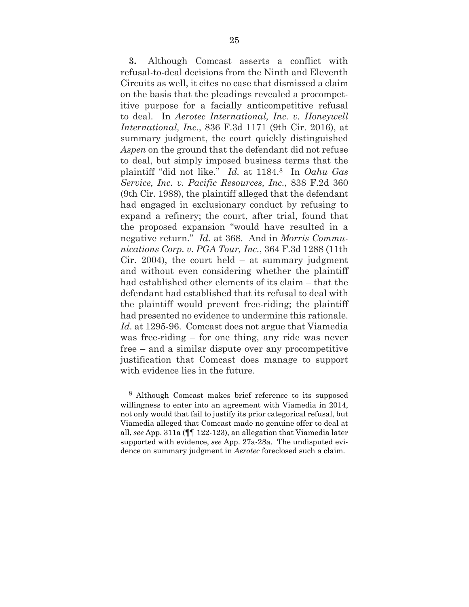**3.** Although Comcast asserts a conflict with refusal-to-deal decisions from the Ninth and Eleventh Circuits as well, it cites no case that dismissed a claim on the basis that the pleadings revealed a procompetitive purpose for a facially anticompetitive refusal to deal. In *Aerotec International, Inc. v. Honeywell International, Inc.*, 836 F.3d 1171 (9th Cir. 2016), at summary judgment, the court quickly distinguished *Aspen* on the ground that the defendant did not refuse to deal, but simply imposed business terms that the plaintiff "did not like." *Id.* at 1184.8 In *Oahu Gas Service, Inc. v. Pacific Resources, Inc.*, 838 F.2d 360 (9th Cir. 1988), the plaintiff alleged that the defendant had engaged in exclusionary conduct by refusing to expand a refinery; the court, after trial, found that the proposed expansion "would have resulted in a negative return." *Id.* at 368. And in *Morris Communications Corp. v. PGA Tour, Inc.*, 364 F.3d 1288 (11th Cir. 2004), the court held  $-$  at summary judgment and without even considering whether the plaintiff had established other elements of its claim – that the defendant had established that its refusal to deal with the plaintiff would prevent free-riding; the plaintiff had presented no evidence to undermine this rationale. *Id.* at 1295-96. Comcast does not argue that Viamedia was free-riding – for one thing, any ride was never free – and a similar dispute over any procompetitive justification that Comcast does manage to support with evidence lies in the future.

 $\overline{a}$ 

<sup>8</sup> Although Comcast makes brief reference to its supposed willingness to enter into an agreement with Viamedia in 2014, not only would that fail to justify its prior categorical refusal, but Viamedia alleged that Comcast made no genuine offer to deal at all, *see* App. 311a (¶¶ 122-123), an allegation that Viamedia later supported with evidence, *see* App. 27a-28a. The undisputed evidence on summary judgment in *Aerotec* foreclosed such a claim.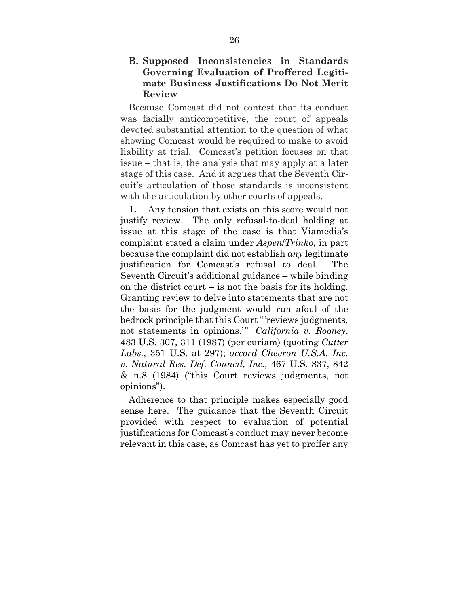## **B. Supposed Inconsistencies in Standards Governing Evaluation of Proffered Legitimate Business Justifications Do Not Merit Review**

Because Comcast did not contest that its conduct was facially anticompetitive, the court of appeals devoted substantial attention to the question of what showing Comcast would be required to make to avoid liability at trial. Comcast's petition focuses on that issue – that is, the analysis that may apply at a later stage of this case. And it argues that the Seventh Circuit's articulation of those standards is inconsistent with the articulation by other courts of appeals.

**1.** Any tension that exists on this score would not justify review. The only refusal-to-deal holding at issue at this stage of the case is that Viamedia's complaint stated a claim under *Aspen*/*Trinko*, in part because the complaint did not establish *any* legitimate justification for Comcast's refusal to deal. The Seventh Circuit's additional guidance – while binding on the district court  $-$  is not the basis for its holding. Granting review to delve into statements that are not the basis for the judgment would run afoul of the bedrock principle that this Court "'reviews judgments, not statements in opinions.'" *California v. Rooney*, 483 U.S. 307, 311 (1987) (per curiam) (quoting *Cutter Labs.*, 351 U.S. at 297); *accord Chevron U.S.A. Inc. v. Natural Res. Def. Council, Inc.*, 467 U.S. 837, 842 & n.8 (1984) ("this Court reviews judgments, not opinions").

Adherence to that principle makes especially good sense here. The guidance that the Seventh Circuit provided with respect to evaluation of potential justifications for Comcast's conduct may never become relevant in this case, as Comcast has yet to proffer any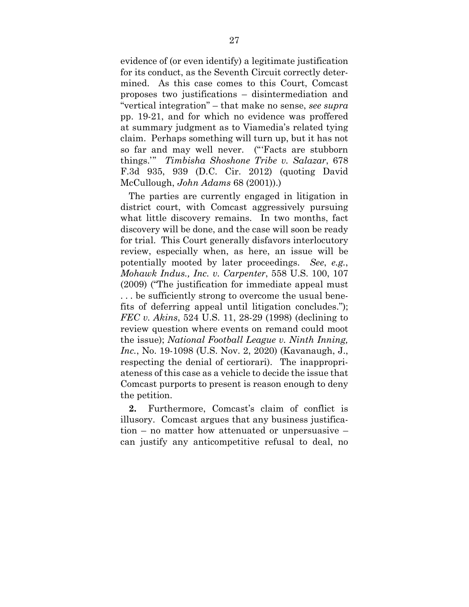evidence of (or even identify) a legitimate justification for its conduct, as the Seventh Circuit correctly determined. As this case comes to this Court, Comcast proposes two justifications – disintermediation and "vertical integration" – that make no sense, *see supra* pp. 19-21, and for which no evidence was proffered at summary judgment as to Viamedia's related tying claim. Perhaps something will turn up, but it has not so far and may well never. ("'Facts are stubborn things.'" *Timbisha Shoshone Tribe v. Salazar*, 678 F.3d 935, 939 (D.C. Cir. 2012) (quoting David McCullough, *John Adams* 68 (2001)).)

The parties are currently engaged in litigation in district court, with Comcast aggressively pursuing what little discovery remains. In two months, fact discovery will be done, and the case will soon be ready for trial. This Court generally disfavors interlocutory review, especially when, as here, an issue will be potentially mooted by later proceedings. *See*, *e.g.*, *Mohawk Indus., Inc. v. Carpenter*, 558 U.S. 100, 107 (2009) ("The justification for immediate appeal must . . . be sufficiently strong to overcome the usual benefits of deferring appeal until litigation concludes."); *FEC v. Akins*, 524 U.S. 11, 28-29 (1998) (declining to review question where events on remand could moot the issue); *National Football League v. Ninth Inning, Inc.*, No. 19-1098 (U.S. Nov. 2, 2020) (Kavanaugh, J., respecting the denial of certiorari). The inappropriateness of this case as a vehicle to decide the issue that Comcast purports to present is reason enough to deny the petition.

**2.** Furthermore, Comcast's claim of conflict is illusory. Comcast argues that any business justification – no matter how attenuated or unpersuasive – can justify any anticompetitive refusal to deal, no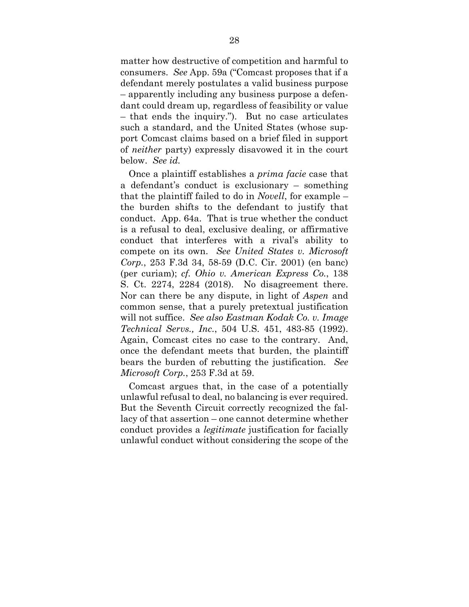matter how destructive of competition and harmful to consumers. *See* App. 59a ("Comcast proposes that if a defendant merely postulates a valid business purpose – apparently including any business purpose a defendant could dream up, regardless of feasibility or value – that ends the inquiry."). But no case articulates such a standard, and the United States (whose support Comcast claims based on a brief filed in support of *neither* party) expressly disavowed it in the court below. *See id.*

Once a plaintiff establishes a *prima facie* case that a defendant's conduct is exclusionary – something that the plaintiff failed to do in *Novell*, for example – the burden shifts to the defendant to justify that conduct. App. 64a. That is true whether the conduct is a refusal to deal, exclusive dealing, or affirmative conduct that interferes with a rival's ability to compete on its own. *See United States v. Microsoft Corp.*, 253 F.3d 34, 58-59 (D.C. Cir. 2001) (en banc) (per curiam); *cf. Ohio v. American Express Co.*, 138 S. Ct. 2274, 2284 (2018).No disagreement there. Nor can there be any dispute, in light of *Aspen* and common sense, that a purely pretextual justification will not suffice. *See also Eastman Kodak Co. v. Image Technical Servs., Inc.*, 504 U.S. 451, 483-85 (1992). Again, Comcast cites no case to the contrary. And, once the defendant meets that burden, the plaintiff bears the burden of rebutting the justification. *See Microsoft Corp.*, 253 F.3d at 59.

Comcast argues that, in the case of a potentially unlawful refusal to deal, no balancing is ever required. But the Seventh Circuit correctly recognized the fallacy of that assertion – one cannot determine whether conduct provides a *legitimate* justification for facially unlawful conduct without considering the scope of the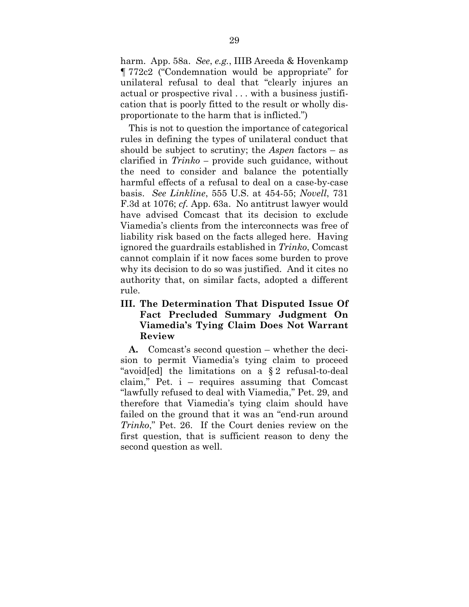harm. App. 58a. *See*, *e.g.*, IIIB Areeda & Hovenkamp ¶ 772c2 ("Condemnation would be appropriate" for unilateral refusal to deal that "clearly injures an actual or prospective rival . . . with a business justification that is poorly fitted to the result or wholly disproportionate to the harm that is inflicted.")

This is not to question the importance of categorical rules in defining the types of unilateral conduct that should be subject to scrutiny; the *Aspen* factors – as clarified in *Trinko –* provide such guidance, without the need to consider and balance the potentially harmful effects of a refusal to deal on a case-by-case basis. *See Linkline*, 555 U.S. at 454-55; *Novell*, 731 F.3d at 1076; *cf.* App. 63a. No antitrust lawyer would have advised Comcast that its decision to exclude Viamedia's clients from the interconnects was free of liability risk based on the facts alleged here. Having ignored the guardrails established in *Trinko*, Comcast cannot complain if it now faces some burden to prove why its decision to do so was justified. And it cites no authority that, on similar facts, adopted a different rule.

## **III. The Determination That Disputed Issue Of Fact Precluded Summary Judgment On Viamedia's Tying Claim Does Not Warrant Review**

**A.** Comcast's second question – whether the decision to permit Viamedia's tying claim to proceed "avoid[ed] the limitations on a § 2 refusal-to-deal claim," Pet. i – requires assuming that Comcast "lawfully refused to deal with Viamedia," Pet. 29, and therefore that Viamedia's tying claim should have failed on the ground that it was an "end-run around *Trinko*," Pet. 26. If the Court denies review on the first question, that is sufficient reason to deny the second question as well.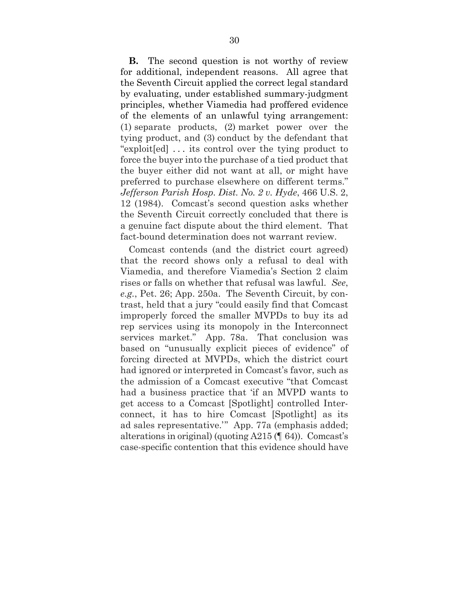**B.** The second question is not worthy of review for additional, independent reasons. All agree that the Seventh Circuit applied the correct legal standard by evaluating, under established summary-judgment principles, whether Viamedia had proffered evidence of the elements of an unlawful tying arrangement: (1) separate products, (2) market power over the tying product, and (3) conduct by the defendant that "exploit[ed] ... its control over the tying product to force the buyer into the purchase of a tied product that the buyer either did not want at all, or might have preferred to purchase elsewhere on different terms." *Jefferson Parish Hosp. Dist. No. 2 v. Hyde*, 466 U.S. 2, 12 (1984). Comcast's second question asks whether the Seventh Circuit correctly concluded that there is a genuine fact dispute about the third element. That fact-bound determination does not warrant review.

Comcast contends (and the district court agreed) that the record shows only a refusal to deal with Viamedia, and therefore Viamedia's Section 2 claim rises or falls on whether that refusal was lawful. *See*, *e.g.*, Pet. 26; App. 250a. The Seventh Circuit, by contrast, held that a jury "could easily find that Comcast improperly forced the smaller MVPDs to buy its ad rep services using its monopoly in the Interconnect services market." App. 78a. That conclusion was based on "unusually explicit pieces of evidence" of forcing directed at MVPDs, which the district court had ignored or interpreted in Comcast's favor, such as the admission of a Comcast executive "that Comcast had a business practice that 'if an MVPD wants to get access to a Comcast [Spotlight] controlled Interconnect, it has to hire Comcast [Spotlight] as its ad sales representative.'" App. 77a (emphasis added; alterations in original) (quoting A215 (¶ 64)). Comcast's case-specific contention that this evidence should have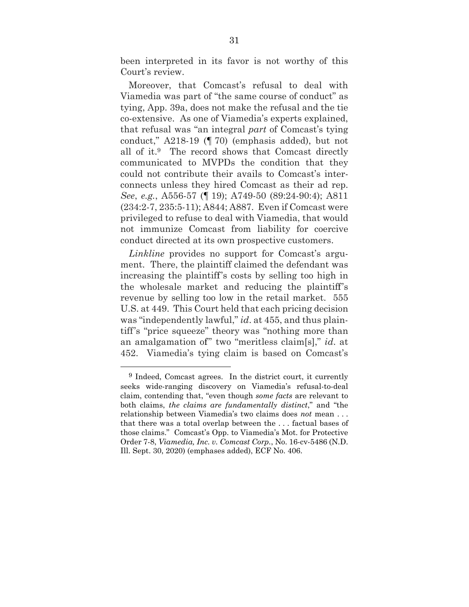been interpreted in its favor is not worthy of this Court's review.

Moreover, that Comcast's refusal to deal with Viamedia was part of "the same course of conduct" as tying, App. 39a, does not make the refusal and the tie co-extensive. As one of Viamedia's experts explained, that refusal was "an integral *part* of Comcast's tying conduct," A218-19 (¶ 70) (emphasis added), but not all of it.9 The record shows that Comcast directly communicated to MVPDs the condition that they could not contribute their avails to Comcast's interconnects unless they hired Comcast as their ad rep. *See*, *e.g.*, A556-57 (¶ 19); A749-50 (89:24-90:4); A811 (234:2-7, 235:5-11); A844; A887. Even if Comcast were privileged to refuse to deal with Viamedia, that would not immunize Comcast from liability for coercive conduct directed at its own prospective customers.

*Linkline* provides no support for Comcast's argument. There, the plaintiff claimed the defendant was increasing the plaintiff's costs by selling too high in the wholesale market and reducing the plaintiff's revenue by selling too low in the retail market. 555 U.S. at 449. This Court held that each pricing decision was "independently lawful," *id*. at 455, and thus plaintiff's "price squeeze" theory was "nothing more than an amalgamation of" two "meritless claim[s]," *id*. at 452. Viamedia's tying claim is based on Comcast's

 $\overline{a}$ 

<sup>&</sup>lt;sup>9</sup> Indeed, Comcast agrees. In the district court, it currently seeks wide-ranging discovery on Viamedia's refusal-to-deal claim, contending that, "even though *some facts* are relevant to both claims, *the claims are fundamentally distinct*," and "the relationship between Viamedia's two claims does *not* mean . . . that there was a total overlap between the . . . factual bases of those claims." Comcast's Opp. to Viamedia's Mot. for Protective Order 7-8, *Viamedia, Inc. v. Comcast Corp.*, No. 16-cv-5486 (N.D. Ill. Sept. 30, 2020) (emphases added), ECF No. 406.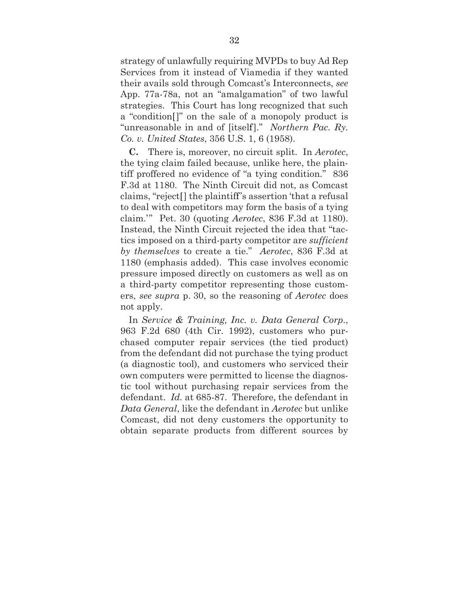strategy of unlawfully requiring MVPDs to buy Ad Rep Services from it instead of Viamedia if they wanted their avails sold through Comcast's Interconnects, *see* App. 77a-78a, not an "amalgamation" of two lawful strategies. This Court has long recognized that such a "condition[]" on the sale of a monopoly product is "unreasonable in and of [itself]." *Northern Pac. Ry. Co. v. United States*, 356 U.S. 1, 6 (1958).

**C.** There is, moreover, no circuit split. In *Aerotec*, the tying claim failed because, unlike here, the plaintiff proffered no evidence of "a tying condition." 836 F.3d at 1180. The Ninth Circuit did not, as Comcast claims, "reject[] the plaintiff's assertion 'that a refusal to deal with competitors may form the basis of a tying claim.'" Pet. 30 (quoting *Aerotec*, 836 F.3d at 1180). Instead, the Ninth Circuit rejected the idea that "tactics imposed on a third-party competitor are *sufficient by themselves* to create a tie." *Aerotec*, 836 F.3d at 1180 (emphasis added). This case involves economic pressure imposed directly on customers as well as on a third-party competitor representing those customers, *see supra* p. 30, so the reasoning of *Aerotec* does not apply.

In *Service & Training, Inc. v. Data General Corp.*, 963 F.2d 680 (4th Cir. 1992), customers who purchased computer repair services (the tied product) from the defendant did not purchase the tying product (a diagnostic tool), and customers who serviced their own computers were permitted to license the diagnostic tool without purchasing repair services from the defendant. *Id.* at 685-87. Therefore, the defendant in *Data General*, like the defendant in *Aerotec* but unlike Comcast, did not deny customers the opportunity to obtain separate products from different sources by